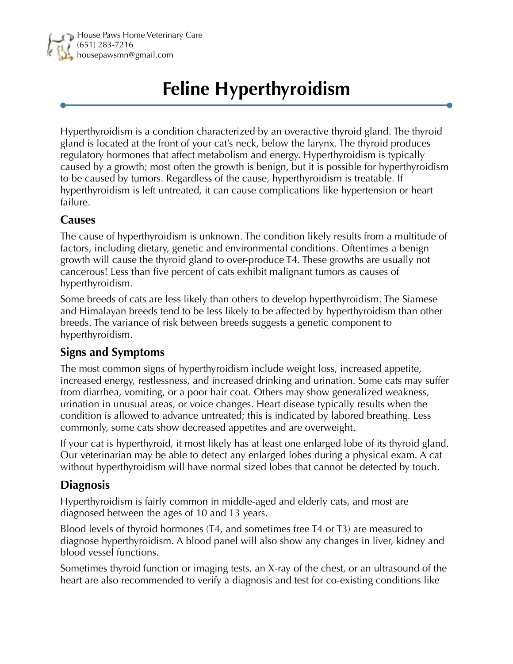

## **Feline Hyperthyroidism**

Hyperthyroidism is a condition characterized by an overactive thyroid gland. The thyroid gland is located at the front of your cat's neck, below the larynx. The thyroid produces regulatory hormones that affect metabolism and energy. Hyperthyroidism is typically caused by a growth; most often the growth is benign, but it is possible for hyperthyroidism to be caused by tumors. Regardless of the cause, hyperthyroidism is treatable. If hyperthyroidism is left untreated, it can cause complications like hypertension or heart failure.

## **Causes**

The cause of hyperthyroidism is unknown. The condition likely results from a multitude of factors, including dietary, genetic and environmental conditions. Oftentimes a benign growth will cause the thyroid gland to over-produce T4. These growths are usually not cancerous! Less than five percent of cats exhibit malignant tumors as causes of hyperthyroidism.

Some breeds of cats are less likely than others to develop hyperthyroidism. The Siamese and Himalayan breeds tend to be less likely to be affected by hyperthyroidism than other breeds. The variance of risk between breeds suggests a genetic component to hyperthyroidism.

## **Signs and Symptoms**

The most common signs of hyperthyroidism include weight loss, increased appetite, increased energy, restlessness, and increased drinking and urination. Some cats may suffer from diarrhea, vomiting, or a poor hair coat. Others may show generalized weakness, urination in unusual areas, or voice changes. Heart disease typically results when the condition is allowed to advance untreated; this is indicated by labored breathing. Less commonly, some cats show decreased appetites and are overweight.

If your cat is hyperthyroid, it most likely has at least one enlarged lobe of its thyroid gland. Our veterinarian may be able to detect any enlarged lobes during a physical exam. A cat without hyperthyroidism will have normal sized lobes that cannot be detected by touch.

## **Diagnosis**

Hyperthyroidism is fairly common in middle-aged and elderly cats, and most are diagnosed between the ages of 10 and 13 years.

Blood levels of thyroid hormones (T4, and sometimes free T4 or T3) are measured to diagnose hyperthyroidism. A blood panel will also show any changes in liver, kidney and blood vessel functions.

Sometimes thyroid function or imaging tests, an X-ray of the chest, or an ultrasound of the heart are also recommended to verify a diagnosis and test for co-existing conditions like